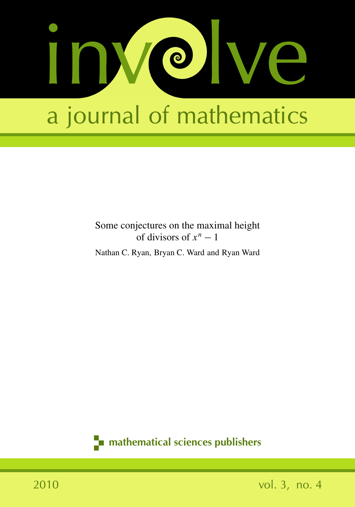

### Some conjectures on the maximal height of divisors of  $x^n - 1$

Nathan C. Ryan, Bryan C. Ward and Ryan Ward

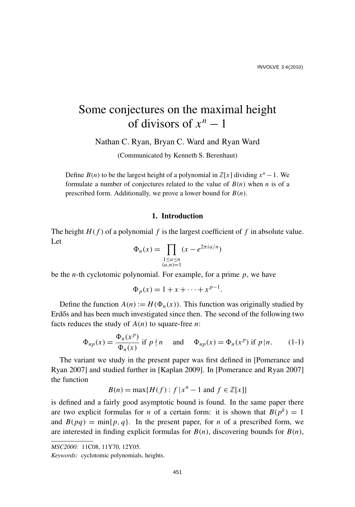## Some conjectures on the maximal height of divisors of  $x^n - 1$

Nathan C. Ryan, Bryan C. Ward and Ryan Ward

(Communicated by Kenneth S. Berenhaut)

Define *B*(*n*) to be the largest height of a polynomial in  $\mathbb{Z}[x]$  dividing  $x^n - 1$ . We formulate a number of conjectures related to the value of  $B(n)$  when *n* is of a prescribed form. Additionally, we prove a lower bound for *B*(*n*).

#### 1. Introduction

The height  $H(f)$  of a polynomial f is the largest coefficient of f in absolute value. Let

$$
\Phi_n(x) = \prod_{\substack{1 \le a \le n \\ (a,n)=1}} (x - e^{2\pi i a/n})
$$

be the *n*-th cyclotomic polynomial. For example, for a prime *p*, we have

$$
\Phi_p(x) = 1 + x + \dots + x^{p-1}.
$$

Define the function  $A(n) := H(\Phi_n(x))$ . This function was originally studied by Erdős and has been much investigated since then. The second of the following two facts reduces the study of *A*(*n*) to square-free *n*:

$$
\Phi_{np}(x) = \frac{\Phi_n(x^p)}{\Phi_n(x)} \text{ if } p \nmid n \quad \text{ and } \quad \Phi_{np}(x) = \Phi_n(x^p) \text{ if } p \mid n. \tag{1-1}
$$

The variant we study in the present paper was first defined in [Pomerance and Ryan 2007] and studied further in [Kaplan 2009]. In [Pomerance and Ryan 2007] the function

$$
B(n) = \max\{H(f) : f \mid x^n - 1 \text{ and } f \in \mathbb{Z}[x]\}
$$

is defined and a fairly good asymptotic bound is found. In the same paper there are two explicit formulas for *n* of a certain form: it is shown that  $B(p^k) = 1$ and  $B(pq) = \min\{p, q\}$ . In the present paper, for *n* of a prescribed form, we are interested in finding explicit formulas for  $B(n)$ , discovering bounds for  $B(n)$ ,

*MSC2000:* 11C08, 11Y70, 12Y05.

*Keywords:* cyclotomic polynomials, heights.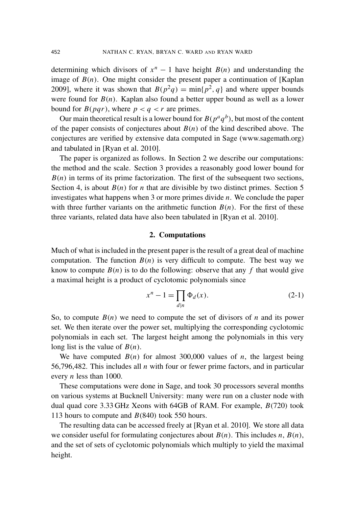determining which divisors of  $x^n - 1$  have height  $B(n)$  and understanding the image of  $B(n)$ . One might consider the present paper a continuation of [Kaplan] 2009], where it was shown that  $B(p^2q) = \min\{p^2, q\}$  and where upper bounds were found for  $B(n)$ . Kaplan also found a better upper bound as well as a lower bound for  $B(pqr)$ , where  $p < q < r$  are primes.

Our main theoretical result is a lower bound for  $B(p^aq^b)$ , but most of the content of the paper consists of conjectures about  $B(n)$  of the kind described above. The conjectures are verified by extensive data computed in Sage (www.sagemath.org) and tabulated in [Ryan et al. 2010].

The paper is organized as follows. In Section 2 we describe our computations: the method and the scale. Section 3 provides a reasonably good lower bound for  $B(n)$  in terms of its prime factorization. The first of the subsequent two sections, Section 4, is about  $B(n)$  for *n* that are divisible by two distinct primes. Section 5 investigates what happens when 3 or more primes divide *n*. We conclude the paper with three further variants on the arithmetic function  $B(n)$ . For the first of these three variants, related data have also been tabulated in [Ryan et al. 2010].

#### 2. Computations

Much of what is included in the present paper is the result of a great deal of machine computation. The function  $B(n)$  is very difficult to compute. The best way we know to compute  $B(n)$  is to do the following: observe that any f that would give a maximal height is a product of cyclotomic polynomials since

$$
x^n - 1 = \prod_{d|n} \Phi_d(x). \tag{2-1}
$$

So, to compute  $B(n)$  we need to compute the set of divisors of *n* and its power set. We then iterate over the power set, multiplying the corresponding cyclotomic polynomials in each set. The largest height among the polynomials in this very long list is the value of *B*(*n*).

We have computed  $B(n)$  for almost 300,000 values of *n*, the largest being 56,796,482. This includes all *n* with four or fewer prime factors, and in particular every *n* less than 1000.

These computations were done in Sage, and took 30 processors several months on various systems at Bucknell University: many were run on a cluster node with dual quad core 3.33 GHz Xeons with 64GB of RAM. For example, *B*(720) took 113 hours to compute and *B*(840) took 550 hours.

The resulting data can be accessed freely at [Ryan et al. 2010]. We store all data we consider useful for formulating conjectures about  $B(n)$ . This includes *n*,  $B(n)$ , and the set of sets of cyclotomic polynomials which multiply to yield the maximal height.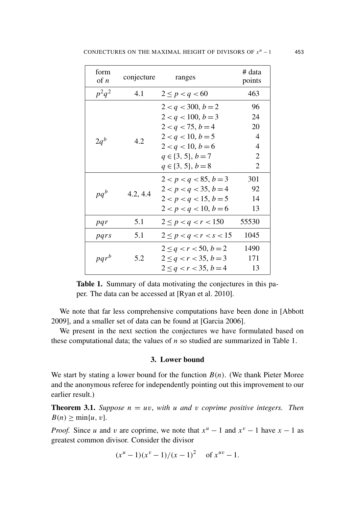| form<br>of $n$ | conjecture | ranges                      | # data<br>points |
|----------------|------------|-----------------------------|------------------|
| $p^2q^2$       | 4.1        | $2 \le p < q < 60$          | 463              |
| $2q^b$         | 4.2        | $2 < q < 300, b = 2$        | 96               |
|                |            | $2 < q < 100, b = 3$        | 24               |
|                |            | $2 < q < 75, b = 4$         | 20               |
|                |            | $2 < q < 10, b = 5$         | 4                |
|                |            | $2 < q < 10, b = 6$         | 4                |
|                |            | $q \in \{3, 5\}, b = 7$     | 2                |
|                |            | $q \in \{3, 5\}, b = 8$     | 2                |
|                | 4.2, 4.4   | $2 < p < q < 85, b = 3$     | 301              |
|                |            | $2 < p < q < 35, b = 4$     | 92               |
| $pq^b$         |            | $2 < p < q < 15, b = 5$     | 14               |
|                |            | $2 < p < q < 10, b = 6$     | 13               |
| pqr            | 5.1        | $2 \le p < q < r < 150$     | 55530            |
| pars           | 5.1        | $2 \leq p < q < r < s < 15$ | 1045             |
| $pqr^b$        | 5.2        | $2 \leq q < r < 50, b = 2$  | 1490             |
|                |            | $2 \leq q < r < 35, b = 3$  | 171              |
|                |            | $2 \leq q < r < 35, b = 4$  | 13               |

Table 1. Summary of data motivating the conjectures in this paper. The data can be accessed at [Ryan et al. 2010].

We note that far less comprehensive computations have been done in [Abbott 2009], and a smaller set of data can be found at [Garcia 2006].

We present in the next section the conjectures we have formulated based on these computational data; the values of *n* so studied are summarized in Table 1.

#### 3. Lower bound

We start by stating a lower bound for the function *B*(*n*). (We thank Pieter Moree and the anonymous referee for independently pointing out this improvement to our earlier result.)

**Theorem 3.1.** *Suppose*  $n = uv$ *, with*  $u$  *and*  $v$  *coprime positive integers. Then*  $B(n) > \min\{u, v\}.$ 

*Proof.* Since *u* and *v* are coprime, we note that  $x^u - 1$  and  $x^v - 1$  have  $x - 1$  as greatest common divisor. Consider the divisor

$$
(x^u-1)(x^v-1)/(x-1)^2
$$
 of  $x^{uv}-1$ .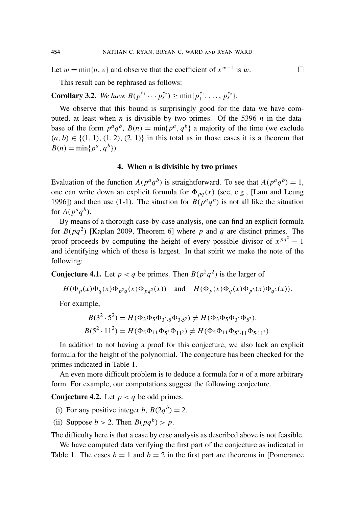Let  $w = \min\{u, v\}$  and observe that the coefficient of  $x^{w-1}$  is w.

This result can be rephrased as follows:

**Corollary 3.2.** We have  $B(p_1^{e_1} \cdots p_s^{e_s}) \ge \min\{p_1^{e_1}, \ldots, p_s^{e_s}\}.$ 

We observe that this bound is surprisingly good for the data we have computed, at least when *n* is divisible by two primes. Of the 5396 *n* in the database of the form  $p^a q^b$ ,  $B(n) = \min\{p^a, q^b\}$  a majority of the time (we exclude  $(a, b) \in \{(1, 1), (1, 2), (2, 1)\}\$ in this total as in those cases it is a theorem that  $B(n) = \min\{p^a, q^b\}.$ 

#### 4. When *n* is divisible by two primes

Evaluation of the function  $A(p^aq^b)$  is straightforward. To see that  $A(p^aq^b) = 1$ , one can write down an explicit formula for  $\Phi_{pq}(x)$  (see, e.g., [Lam and Leung 1996]) and then use (1-1). The situation for  $B(p^aq^b)$  is not all like the situation for  $A(p^aq^b)$ .

By means of a thorough case-by-case analysis, one can find an explicit formula for  $B(pq^2)$  [Kaplan 2009, Theorem 6] where p and q are distinct primes. The proof proceeds by computing the height of every possible divisor of  $x^{pq^2} - 1$ and identifying which of those is largest. In that spirit we make the note of the following:

**Conjecture 4.1.** Let  $p < q$  be primes. Then  $B(p^2q^2)$  is the larger of

$$
H(\Phi_p(x)\Phi_q(x)\Phi_{p^2q}(x)\Phi_{pq^2}(x)) \quad \text{and} \quad H(\Phi_p(x)\Phi_q(x)\Phi_{p^2}(x)\Phi_{q^2}(x)).
$$

For example,

$$
B(3^2 \cdot 5^2) = H(\Phi_3 \Phi_5 \Phi_{3^2} \cdot 5 \Phi_{3 \cdot 5^2}) \neq H(\Phi_3 \Phi_5 \Phi_{3^2} \Phi_{5^2}),
$$
  

$$
B(5^2 \cdot 11^2) = H(\Phi_5 \Phi_{11} \Phi_{5^2} \Phi_{11^2}) \neq H(\Phi_5 \Phi_{11} \Phi_{5^2 \cdot 11} \Phi_{5 \cdot 11^2}).
$$

In addition to not having a proof for this conjecture, we also lack an explicit formula for the height of the polynomial. The conjecture has been checked for the primes indicated in Table 1.

An even more difficult problem is to deduce a formula for *n* of a more arbitrary form. For example, our computations suggest the following conjecture.

**Conjecture 4.2.** Let  $p < q$  be odd primes.

- (i) For any positive integer *b*,  $B(2q^b) = 2$ .
- (ii) Suppose  $b > 2$ . Then  $B(pq^b) > p$ .

The difficulty here is that a case by case analysis as described above is not feasible.

We have computed data verifying the first part of the conjecture as indicated in Table 1. The cases  $b = 1$  and  $b = 2$  in the first part are theorems in [Pomerance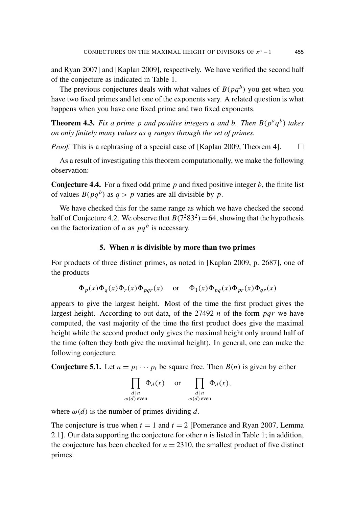and Ryan 2007] and [Kaplan 2009], respectively. We have verified the second half of the conjecture as indicated in Table 1.

The previous conjectures deals with what values of  $B(pq^b)$  you get when you have two fixed primes and let one of the exponents vary. A related question is what happens when you have one fixed prime and two fixed exponents.

**Theorem 4.3.** Fix a prime p and positive integers a and b. Then  $B(p^a q^b)$  takes *on only finitely many values as q ranges through the set of primes.*

*Proof.* This is a rephrasing of a special case of [Kaplan 2009, Theorem 4].  $\square$ 

As a result of investigating this theorem computationally, we make the following observation:

Conjecture 4.4. For a fixed odd prime *p* and fixed positive integer *b*, the finite list of values  $B(pq^b)$  as  $q > p$  varies are all divisible by p.

We have checked this for the same range as which we have checked the second half of Conjecture 4.2. We observe that  $B(7^283^2) = 64$ , showing that the hypothesis on the factorization of *n* as  $pq^b$  is necessary.

#### 5. When *n* is divisible by more than two primes

For products of three distinct primes, as noted in [Kaplan 2009, p. 2687], one of the products

$$
\Phi_p(x)\Phi_q(x)\Phi_r(x)\Phi_{pqr}(x)
$$
 or  $\Phi_1(x)\Phi_{pq}(x)\Phi_{pr}(x)\Phi_{qr}(x)$ 

appears to give the largest height. Most of the time the first product gives the largest height. According to out data, of the 27492 *n* of the form *pqr* we have computed, the vast majority of the time the first product does give the maximal height while the second product only gives the maximal height only around half of the time (often they both give the maximal height). In general, one can make the following conjecture.

**Conjecture 5.1.** Let  $n = p_1 \cdots p_t$  be square free. Then  $B(n)$  is given by either

$$
\prod_{\substack{d|n \ \omega(d) \text{ even}}} \Phi_d(x) \quad \text{or} \quad \prod_{\substack{d|n \ \omega(d) \text{ even}}} \Phi_d(x),
$$

where  $\omega(d)$  is the number of primes dividing d.

The conjecture is true when  $t = 1$  and  $t = 2$  [Pomerance and Ryan 2007, Lemma 2.1]. Our data supporting the conjecture for other *n* is listed in Table 1; in addition, the conjecture has been checked for  $n = 2310$ , the smallest product of five distinct primes.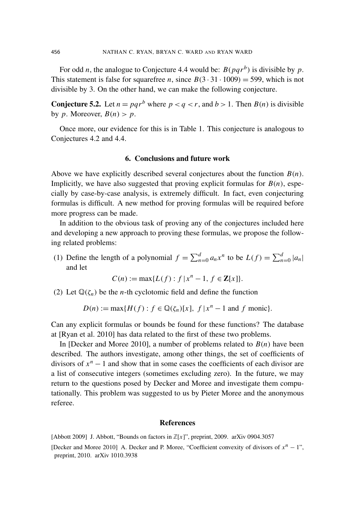For odd *n*, the analogue to Conjecture 4.4 would be:  $B(pqr^b)$  is divisible by p. This statement is false for squarefree *n*, since  $B(3 \cdot 31 \cdot 1009) = 599$ , which is not divisible by 3. On the other hand, we can make the following conjecture.

**Conjecture 5.2.** Let  $n = pqr^b$  where  $p < q < r$ , and  $b > 1$ . Then  $B(n)$  is divisible by *p*. Moreover,  $B(n) > p$ .

Once more, our evidence for this is in Table 1. This conjecture is analogous to Conjectures 4.2 and 4.4.

#### 6. Conclusions and future work

Above we have explicitly described several conjectures about the function *B*(*n*). Implicitly, we have also suggested that proving explicit formulas for  $B(n)$ , especially by case-by-case analysis, is extremely difficult. In fact, even conjecturing formulas is difficult. A new method for proving formulas will be required before more progress can be made.

In addition to the obvious task of proving any of the conjectures included here and developing a new approach to proving these formulas, we propose the following related problems:

(1) Define the length of a polynomial  $f = \sum_{n=0}^{d} a_n x^n$  to be  $L(f) = \sum_{n=0}^{d} |a_n|$ and let

$$
C(n) := \max\{L(f) : f | x^n - 1, f \in \mathbf{Z}[x]\}.
$$

(2) Let  $\mathbb{Q}(\zeta_n)$  be the *n*-th cyclotomic field and define the function

$$
D(n) := \max\{H(f) : f \in \mathbb{Q}(\zeta_n)[x], f \mid x^n - 1 \text{ and } f \text{ monic}\}.
$$

Can any explicit formulas or bounds be found for these functions? The database at [Ryan et al. 2010] has data related to the first of these two problems.

In [Decker and Moree 2010], a number of problems related to  $B(n)$  have been described. The authors investigate, among other things, the set of coefficients of divisors of  $x^n - 1$  and show that in some cases the coefficients of each divisor are a list of consecutive integers (sometimes excluding zero). In the future, we may return to the questions posed by Decker and Moree and investigate them computationally. This problem was suggested to us by Pieter Moree and the anonymous referee.

#### References

[Abbott 2009] J. Abbott, "Bounds on factors in  $\mathbb{Z}[x]$ ", preprint, 2009. arXiv 0904.3057

<sup>[</sup>Decker and Moree 2010] A. Decker and P. Moree, "Coefficient convexity of divisors of  $x^n - 1$ ", preprint, 2010. arXiv 1010.3938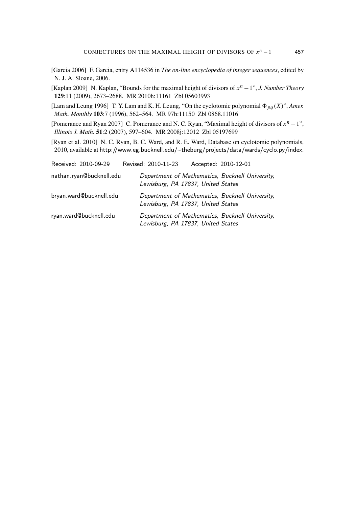- [Garcia 2006] F. Garcia, entry A114536 in *The on-line encyclopedia of integer sequences*, edited by N. J. A. Sloane, 2006.
- [Kaplan 2009] N. Kaplan, "Bounds for the maximal height of divisors of *x <sup>n</sup>* −1", *J. Number Theory* 129:11 (2009), 2673–2688. MR 2010h:11161 Zbl 05603993
- [Lam and Leung 1996] T. Y. Lam and K. H. Leung, "On the cyclotomic polynomial  $\Phi_{pq}(X)$ ", *Amer. Math. Monthly* 103:7 (1996), 562–564. MR 97h:11150 Zbl 0868.11016
- [Pomerance and Ryan 2007] C. Pomerance and N. C. Ryan, "Maximal height of divisors of *x <sup>n</sup>* −1", *Illinois J. Math.* 51:2 (2007), 597–604. MR 2008j:12012 Zbl 05197699

[Ryan et al. 2010] N. C. Ryan, B. C. Ward, and R. E. Ward, Database on cyclotomic polynomials, 2010, available at http://www.eg.bucknell.edu/~ theburg/projects/data/wards/cyclo.py/index.

| Received: 2010-09-29     | Revised: 2010-11-23 |                                    | Accepted: 2010-12-01                            |
|--------------------------|---------------------|------------------------------------|-------------------------------------------------|
| nathan.ryan@bucknell.edu |                     | Lewisburg, PA 17837, United States | Department of Mathematics, Bucknell University, |
| bryan.ward@bucknell.edu  |                     | Lewisburg, PA 17837, United States | Department of Mathematics, Bucknell University, |
| ryan.ward@bucknell.edu   |                     | Lewisburg, PA 17837, United States | Department of Mathematics, Bucknell University, |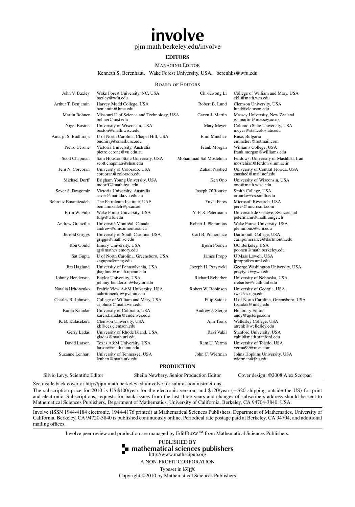# involve

#### [pjm.math.berkeley.edu/involve](http://pjm.math.berkeley.edu/involve)

#### EDITORS

#### MANAGING EDITOR

#### Kenneth S. Berenhaut, Wake Forest University, USA, [berenhks@wfu.edu](mailto:berenhks@wfu.edu)

#### BOARD OF EDITORS

| John V. Baxley                 | Wake Forest University, NC, USA<br>baxley@wfu.edu               | Chi-Kwong Li                             | College of William and Mary, USA<br>ckli@math.wm.edu                |
|--------------------------------|-----------------------------------------------------------------|------------------------------------------|---------------------------------------------------------------------|
| Arthur T. Benjamin             | Harvey Mudd College, USA<br>benjamin@hmc.edu                    | Robert B. Lund                           | Clemson University, USA<br>lund@clemson.edu                         |
| Martin Bohner                  | Missouri U of Science and Technology, USA<br>bohner@mst.edu     | Gaven J. Martin                          | Massey University, New Zealand<br>g.j.martin@massey.ac.nz           |
| Nigel Boston                   | University of Wisconsin, USA<br>boston@math.wisc.edu            | Mary Meyer                               | Colorado State University, USA<br>meyer@stat.colostate.edu          |
| Amarjit S. Budhiraja           | U of North Carolina, Chapel Hill, USA<br>budhiraj@email.unc.edu | Emil Minchev                             | Ruse, Bulgaria<br>eminchev@hotmail.com                              |
| Pietro Cerone                  | Victoria University, Australia<br>pietro.cerone@vu.edu.au       | Frank Morgan                             | Williams College, USA<br>frank.morgan@williams.edu                  |
| Scott Chapman                  | Sam Houston State University, USA<br>scott.chapman@shsu.edu     | Mohammad Sal Moslehian                   | Ferdowsi University of Mashhad, Iran<br>moslehian@ferdowsi.um.ac.ir |
| Jem N. Corcoran                | University of Colorado, USA<br>corcoran@colorado.edu            | Zuhair Nashed                            | University of Central Florida, USA<br>znashed@mail.ucf.edu          |
| Michael Dorff                  | Brigham Young University, USA<br>mdorff@math.byu.edu            | Ken Ono                                  | University of Wisconsin, USA<br>ono@math.wisc.edu                   |
| Sever S. Dragomir              | Victoria University, Australia<br>sever@matilda.vu.edu.au       | Joseph O'Rourke                          | Smith College, USA<br>orourke@cs.smith.edu                          |
| Behrouz Emamizadeh             | The Petroleum Institute, UAE<br>bemamizadeh@pi.ac.ae            | <b>Yuval Peres</b>                       | Microsoft Research, USA<br>peres@microsoft.com                      |
| Errin W. Fulp                  | Wake Forest University, USA<br>fulp@wfu.edu                     | Y.-F. S. Pétermann                       | Université de Genève, Switzerland<br>petermann@math.unige.ch        |
| Andrew Granville               | Université Montréal, Canada<br>andrew@dms.umontreal.ca          | Robert J. Plemmons                       | Wake Forest University, USA<br>plemmons@wfu.edu                     |
| Jerrold Griggs                 | University of South Carolina, USA<br>griggs@math.sc.edu         | Carl B. Pomerance                        | Dartmouth College, USA<br>carl.pomerance@dartmouth.edu              |
| Ron Gould                      | Emory University, USA<br>rg@mathcs.emory.edu                    | <b>Bjorn Poonen</b>                      | UC Berkeley, USA<br>poonen@math.berkeley.edu                        |
| Sat Gupta                      | U of North Carolina, Greensboro, USA<br>sngupta@uncg.edu        | James Propp                              | U Mass Lowell, USA<br>jpropp@cs.uml.edu                             |
| Jim Haglund                    | University of Pennsylvania, USA<br>jhaglund@math.upenn.edu      | Józeph H. Przytycki                      | George Washington University, USA<br>przytyck@gwu.edu               |
| Johnny Henderson               | Baylor University, USA<br>johnny_henderson@baylor.edu           | Richard Rebarber                         | University of Nebraska, USA<br>rrebarbe@math.unl.edu                |
| Natalia Hritonenko             | Prairie View A&M University, USA<br>nahritonenko@pvamu.edu      | Robert W. Robinson                       | University of Georgia, USA<br>rwr@cs.uga.edu                        |
| Charles R. Johnson             | College of William and Mary, USA<br>crjohnso@math.wm.edu        | Filip Saidak                             | U of North Carolina, Greensboro, USA<br>f_saidak@uncg.edu           |
| Karen Kafadar                  | University of Colorado, USA<br>karen.kafadar@cudenver.edu       | Andrew J. Sterge                         | Honorary Editor<br>andy@ajsterge.com                                |
| K. B. Kulasekera               | Clemson University, USA<br>kk@ces.clemson.edu                   | Ann Trenk                                | Wellesley College, USA<br>atrenk@wellesley.edu                      |
| Gerry Ladas                    | University of Rhode Island, USA<br>gladas@math.uri.edu          | Ravi Vakil                               | Stanford University, USA<br>vakil@math.stanford.edu                 |
| David Larson                   | Texas A&M University, USA<br>larson@math.tamu.edu               | Ram U. Verma                             | University of Toledo, USA<br>verma99@msn.com                        |
| Suzanne Lenhart                | University of Tennessee, USA<br>lenhart@math.utk.edu            | John C. Wierman                          | Johns Hopkins University, USA<br>wierman@jhu.edu                    |
|                                |                                                                 | <b>PRODUCTION</b>                        |                                                                     |
| Silvio Levy, Scientific Editor |                                                                 | Sheila Newbery, Senior Production Editor | Cover design: ©2008 Alex Scorpan                                    |

See inside back cover or <http://pjm.math.berkeley.edu/involve> for submission instructions.

The subscription price for 2010 is US \$100/year for the electronic version, and \$120/year (+\$20 shipping outside the US) for print and electronic. Subscriptions, requests for back issues from the last three years and changes of subscribers address should be sent to Mathematical Sciences Publishers, Department of Mathematics, University of California, Berkeley, CA 94704-3840, USA.

Involve (ISSN 1944-4184 electronic, 1944-4176 printed) at Mathematical Sciences Publishers, Department of Mathematics, University of California, Berkeley, CA 94720-3840 is published continuously online. Periodical rate postage paid at Berkeley, CA 94704, and additional mailing offices.

Involve peer review and production are managed by EditFLOW™ from Mathematical Sciences Publishers.



A NON-PROFIT CORPORATION Typeset in L<sup>AT</sup>EX Copyright ©2010 by Mathematical Sciences Publishers